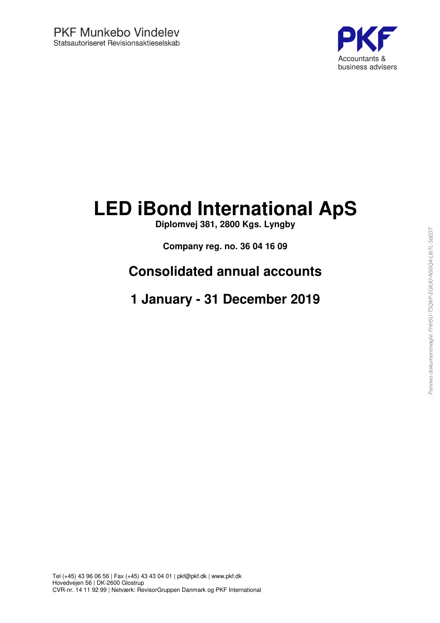

## **LED iBond International ApS**

**Diplomvej 381, 2800 Kgs. Lyngby**

**Company reg. no. 36 04 16 09**

## **Consolidated annual accounts**

## **1 January - 31 December 2019**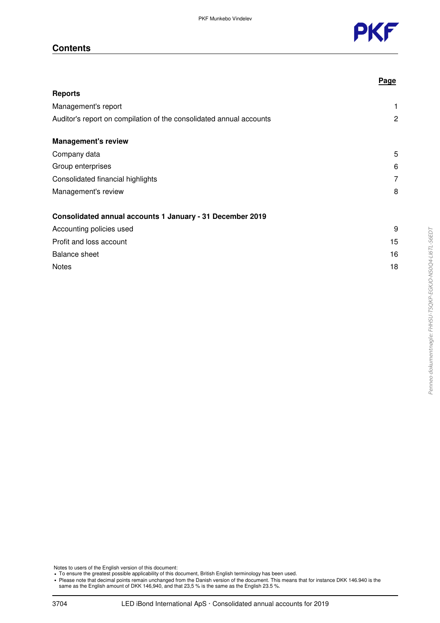

#### **Contents**

|                                                                     | <b>Page</b> |
|---------------------------------------------------------------------|-------------|
| <b>Reports</b>                                                      |             |
| Management's report                                                 | 1           |
| Auditor's report on compilation of the consolidated annual accounts | 2           |
| <b>Management's review</b>                                          |             |
| Company data                                                        | 5           |
| Group enterprises                                                   | 6           |
| Consolidated financial highlights                                   | 7           |
| Management's review                                                 | 8           |
| Consolidated annual accounts 1 January - 31 December 2019           |             |
| Accounting policies used                                            | 9           |
| Profit and loss account                                             | 15          |
| <b>Balance sheet</b>                                                | 16          |
| <b>Notes</b>                                                        | 18          |

Notes to users of the English version of this document:

• To ensure the greatest possible applicability of this document, British English terminology has been used.

Please note that decimal points remain unchanged from the Danish version of the document. This means that for instance DKK 146.940 is the Same as the English amount of DKK 146,940, and that 23,5 % is the same as the Englis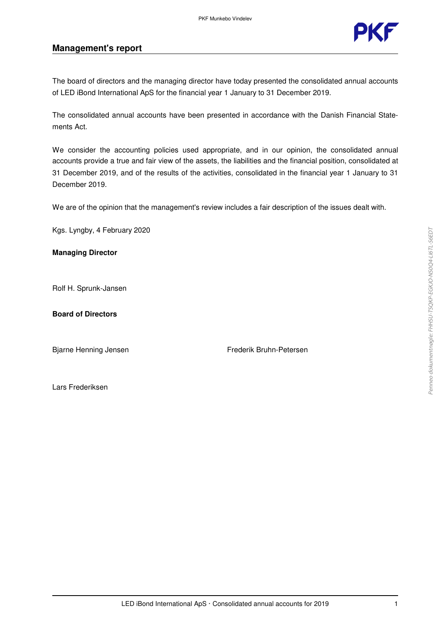

#### **Management's report**

The board of directors and the managing director have today presented the consolidated annual accounts of LED iBond International ApS for the financial year 1 January to 31 December 2019.

The consolidated annual accounts have been presented in accordance with the Danish Financial Statements Act.

We consider the accounting policies used appropriate, and in our opinion, the consolidated annual accounts provide a true and fair view of the assets, the liabilities and the financial position, consolidated at 31 December 2019, and of the results of the activities, consolidated in the financial year 1 January to 31 December 2019.

We are of the opinion that the management's review includes a fair description of the issues dealt with.

Kgs. Lyngby, 4 February 2020

#### **Managing Director**

Rolf H. Sprunk-Jansen

#### **Board of Directors**

Bjarne Henning Jensen Frederik Bruhn-Petersen

Lars Frederiksen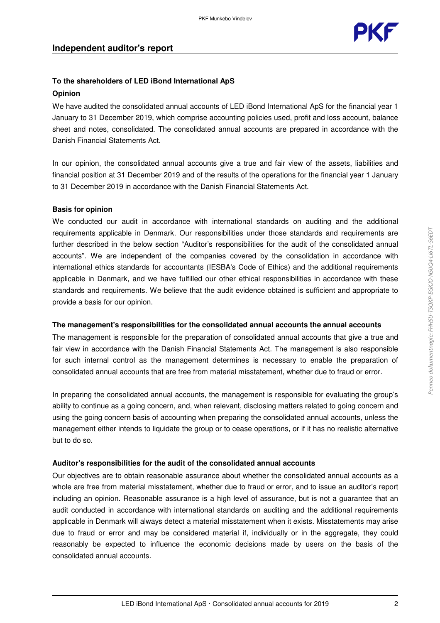

#### **To the shareholders of LED iBond International ApS Opinion**

We have audited the consolidated annual accounts of LED iBond International ApS for the financial year 1 January to 31 December 2019, which comprise accounting policies used, profit and loss account, balance sheet and notes, consolidated. The consolidated annual accounts are prepared in accordance with the Danish Financial Statements Act.

In our opinion, the consolidated annual accounts give a true and fair view of the assets, liabilities and financial position at 31 December 2019 and of the results of the operations for the financial year 1 January to 31 December 2019 in accordance with the Danish Financial Statements Act.

#### **Basis for opinion**

We conducted our audit in accordance with international standards on auditing and the additional requirements applicable in Denmark. Our responsibilities under those standards and requirements are further described in the below section "Auditor's responsibilities for the audit of the consolidated annual accounts". We are independent of the companies covered by the consolidation in accordance with international ethics standards for accountants (IESBA's Code of Ethics) and the additional requirements applicable in Denmark, and we have fulfilled our other ethical responsibilities in accordance with these standards and requirements. We believe that the audit evidence obtained is sufficient and appropriate to provide a basis for our opinion.

#### **The management's responsibilities for the consolidated annual accounts the annual accounts**

The management is responsible for the preparation of consolidated annual accounts that give a true and fair view in accordance with the Danish Financial Statements Act. The management is also responsible for such internal control as the management determines is necessary to enable the preparation of consolidated annual accounts that are free from material misstatement, whether due to fraud or error.

In preparing the consolidated annual accounts, the management is responsible for evaluating the group's ability to continue as a going concern, and, when relevant, disclosing matters related to going concern and using the going concern basis of accounting when preparing the consolidated annual accounts, unless the management either intends to liquidate the group or to cease operations, or if it has no realistic alternative but to do so.

#### **Auditor's responsibilities for the audit of the consolidated annual accounts**

Our objectives are to obtain reasonable assurance about whether the consolidated annual accounts as a whole are free from material misstatement, whether due to fraud or error, and to issue an auditor's report including an opinion. Reasonable assurance is a high level of assurance, but is not a guarantee that an audit conducted in accordance with international standards on auditing and the additional requirements applicable in Denmark will always detect a material misstatement when it exists. Misstatements may arise due to fraud or error and may be considered material if, individually or in the aggregate, they could reasonably be expected to influence the economic decisions made by users on the basis of the consolidated annual accounts.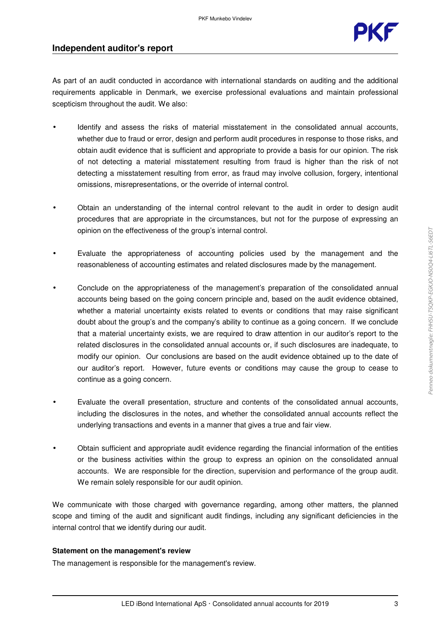

#### **Independent auditor's report**

As part of an audit conducted in accordance with international standards on auditing and the additional requirements applicable in Denmark, we exercise professional evaluations and maintain professional scepticism throughout the audit. We also:

- Identify and assess the risks of material misstatement in the consolidated annual accounts, whether due to fraud or error, design and perform audit procedures in response to those risks, and obtain audit evidence that is sufficient and appropriate to provide a basis for our opinion. The risk of not detecting a material misstatement resulting from fraud is higher than the risk of not detecting a misstatement resulting from error, as fraud may involve collusion, forgery, intentional omissions, misrepresentations, or the override of internal control.
- Obtain an understanding of the internal control relevant to the audit in order to design audit procedures that are appropriate in the circumstances, but not for the purpose of expressing an opinion on the effectiveness of the group's internal control.
- Evaluate the appropriateness of accounting policies used by the management and the reasonableness of accounting estimates and related disclosures made by the management.
- Conclude on the appropriateness of the management's preparation of the consolidated annual accounts being based on the going concern principle and, based on the audit evidence obtained, whether a material uncertainty exists related to events or conditions that may raise significant doubt about the group's and the company's ability to continue as a going concern. If we conclude that a material uncertainty exists, we are required to draw attention in our auditor's report to the related disclosures in the consolidated annual accounts or, if such disclosures are inadequate, to modify our opinion. Our conclusions are based on the audit evidence obtained up to the date of our auditor's report. However, future events or conditions may cause the group to cease to continue as a going concern.
- Evaluate the overall presentation, structure and contents of the consolidated annual accounts, including the disclosures in the notes, and whether the consolidated annual accounts reflect the underlying transactions and events in a manner that gives a true and fair view.
- Obtain sufficient and appropriate audit evidence regarding the financial information of the entities or the business activities within the group to express an opinion on the consolidated annual accounts. We are responsible for the direction, supervision and performance of the group audit. We remain solely responsible for our audit opinion.

We communicate with those charged with governance regarding, among other matters, the planned scope and timing of the audit and significant audit findings, including any significant deficiencies in the internal control that we identify during our audit.

#### **Statement on the management's review**

The management is responsible for the management's review.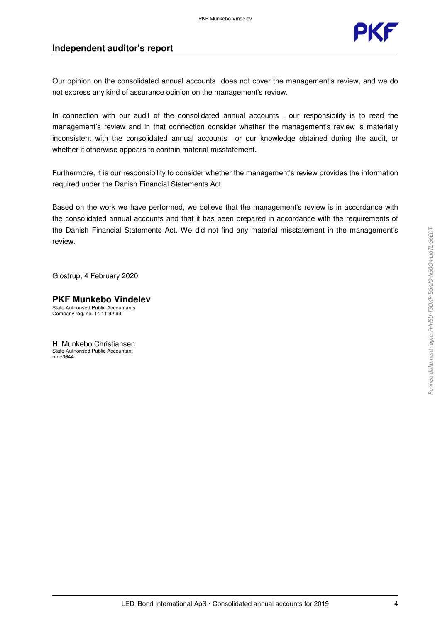

#### **Independent auditor's report**

Our opinion on the consolidated annual accounts does not cover the management's review, and we do not express any kind of assurance opinion on the management's review.

In connection with our audit of the consolidated annual accounts, our responsibility is to read the management's review and in that connection consider whether the management's review is materially inconsistent with the consolidated annual accounts or our knowledge obtained during the audit, or whether it otherwise appears to contain material misstatement.

Furthermore, it is our responsibility to consider whether the management's review provides the information required under the Danish Financial Statements Act.

Based on the work we have performed, we believe that the management's review is in accordance with the consolidated annual accounts and that it has been prepared in accordance with the requirements of the Danish Financial Statements Act. We did not find any material misstatement in the management's review.

Glostrup, 4 February 2020

#### **PKF Munkebo Vindelev** State Authorised Public Accountants

Company reg. no. 14 11 92 99

H. Munkebo Christiansen State Authorised Public Accountant mne3644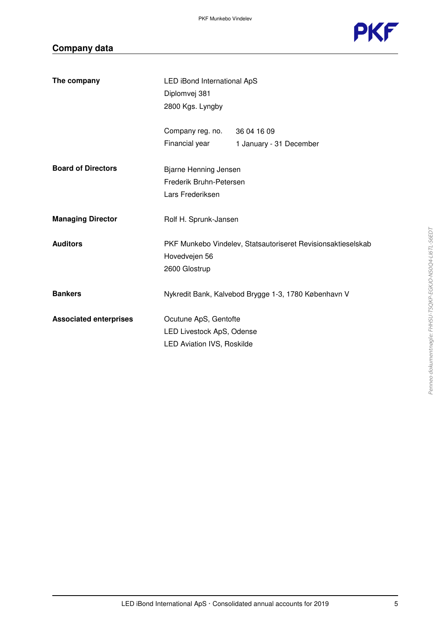

## **Company data**

| The company                   | LED iBond International ApS<br>Diplomvej 381<br>2800 Kgs. Lyngby                        |                                                              |
|-------------------------------|-----------------------------------------------------------------------------------------|--------------------------------------------------------------|
|                               | Company reg. no. 36 04 16 09<br>Financial year                                          | 1 January - 31 December                                      |
| <b>Board of Directors</b>     | <b>Bjarne Henning Jensen</b><br>Frederik Bruhn-Petersen<br>Lars Frederiksen             |                                                              |
| <b>Managing Director</b>      | Rolf H. Sprunk-Jansen                                                                   |                                                              |
| <b>Auditors</b>               | Hovedvejen 56<br>2600 Glostrup                                                          | PKF Munkebo Vindelev, Statsautoriseret Revisionsaktieselskab |
| <b>Bankers</b>                |                                                                                         | Nykredit Bank, Kalvebod Brygge 1-3, 1780 København V         |
| <b>Associated enterprises</b> | Ocutune ApS, Gentofte<br>LED Livestock ApS, Odense<br><b>LED Aviation IVS, Roskilde</b> |                                                              |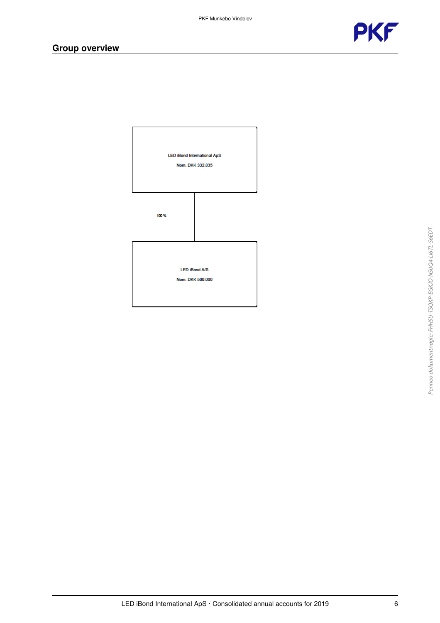



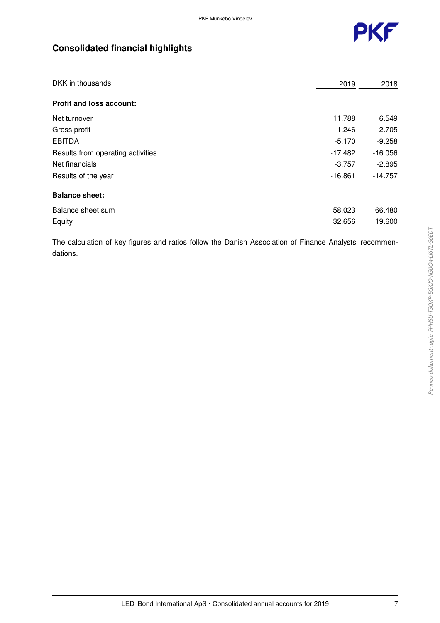

## **Consolidated financial highlights**

| DKK in thousands                  | 2019      | 2018      |
|-----------------------------------|-----------|-----------|
| <b>Profit and loss account:</b>   |           |           |
| Net turnover                      | 11.788    | 6.549     |
| Gross profit                      | 1.246     | $-2.705$  |
| <b>EBITDA</b>                     | $-5.170$  | $-9.258$  |
| Results from operating activities | $-17.482$ | $-16.056$ |
| Net financials                    | $-3.757$  | $-2.895$  |
| Results of the year               | $-16.861$ | $-14.757$ |
| <b>Balance sheet:</b>             |           |           |
| Balance sheet sum                 | 58.023    | 66.480    |
| Equity                            | 32.656    | 19.600    |

The calculation of key figures and ratios follow the Danish Association of Finance Analysts' recommendations.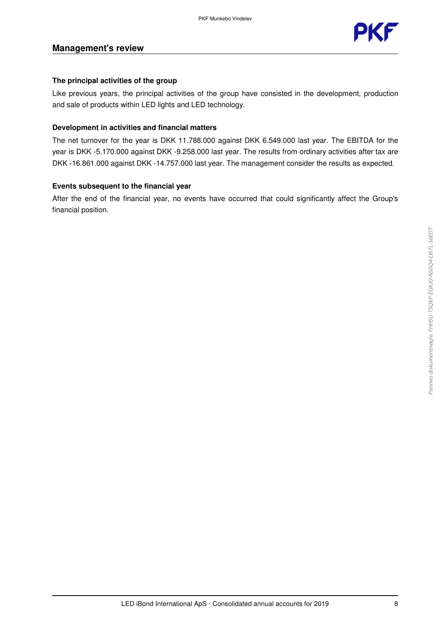

#### **Management's review**

#### **The principal activities of the group**

Like previous years, the principal activities of the group have consisted in the development, production and sale of products within LED lights and LED technology.

#### **Development in activities and financial matters**

The net turnover for the year is DKK 11.788.000 against DKK 6.549.000 last year. The EBITDA for the year is DKK -5.170.000 against DKK -9.258.000 last year. The results from ordinary activities after tax are DKK -16.861.000 against DKK -14.757.000 last year. The management consider the results as expected.

#### **Events subsequent to the financial year**

After the end of the financial year, no events have occurred that could significantly affect the Group's financial position.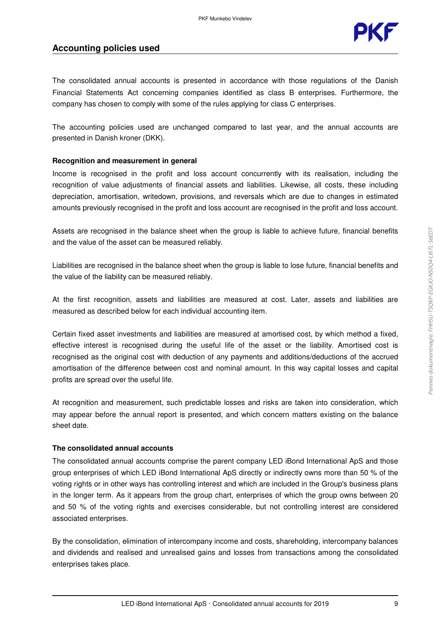

#### **Accounting policies used**

The consolidated annual accounts is presented in accordance with those regulations of the Danish Financial Statements Act concerning companies identified as class B enterprises. Furthermore, the company has chosen to comply with some of the rules applying for class C enterprises.

The accounting policies used are unchanged compared to last year, and the annual accounts are presented in Danish kroner (DKK).

#### **Recognition and measurement in general**

Income is recognised in the profit and loss account concurrently with its realisation, including the recognition of value adjustments of financial assets and liabilities. Likewise, all costs, these including depreciation, amortisation, writedown, provisions, and reversals which are due to changes in estimated amounts previously recognised in the profit and loss account are recognised in the profit and loss account.

Assets are recognised in the balance sheet when the group is liable to achieve future, financial benefits and the value of the asset can be measured reliably.

Liabilities are recognised in the balance sheet when the group is liable to lose future, financial benefits and the value of the liability can be measured reliably.

At the first recognition, assets and liabilities are measured at cost. Later, assets and liabilities are measured as described below for each individual accounting item.

Certain fixed asset investments and liabilities are measured at amortised cost, by which method a fixed, effective interest is recognised during the useful life of the asset or the liability. Amortised cost is recognised as the original cost with deduction of any payments and additions/deductions of the accrued amortisation of the difference between cost and nominal amount. In this way capital losses and capital profits are spread over the useful life.

At recognition and measurement, such predictable losses and risks are taken into consideration, which may appear before the annual report is presented, and which concern matters existing on the balance sheet date.

#### **The consolidated annual accounts**

The consolidated annual accounts comprise the parent company LED iBond International ApS and those group enterprises of which LED iBond International ApS directly or indirectly owns more than 50 % of the voting rights or in other ways has controlling interest and which are included in the Group's business plans in the longer term. As it appears from the group chart, enterprises of which the group owns between 20 and 50 % of the voting rights and exercises considerable, but not controlling interest are considered associated enterprises.

By the consolidation, elimination of intercompany income and costs, shareholding, intercompany balances and dividends and realised and unrealised gains and losses from transactions among the consolidated enterprises takes place.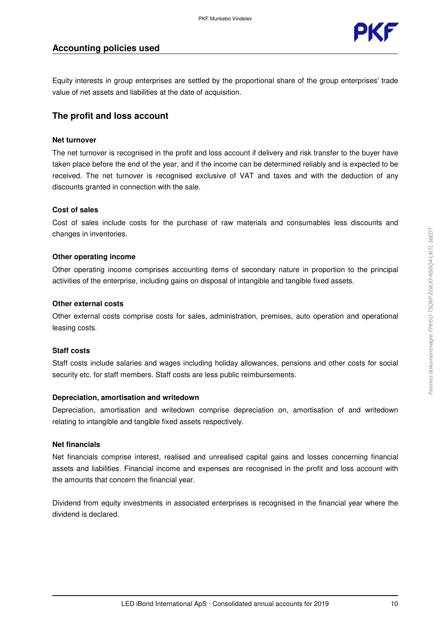

Equity interests in group enterprises are settled by the proportional share of the group enterprises' trade value of net assets and liabilities at the date of acquisition.

#### **The profit and loss account**

#### **Net turnover**

The net turnover is recognised in the profit and loss account if delivery and risk transfer to the buyer have taken place before the end of the year, and if the income can be determined reliably and is expected to be received. The net turnover is recognised exclusive of VAT and taxes and with the deduction of any discounts granted in connection with the sale.

#### **Cost of sales**

Cost of sales include costs for the purchase of raw materials and consumables less discounts and changes in inventories.

#### **Other operating income**

Other operating income comprises accounting items of secondary nature in proportion to the principal activities of the enterprise, including gains on disposal of intangible and tangible fixed assets.

#### **Other external costs**

Other external costs comprise costs for sales, administration, premises, auto operation and operational leasing costs.

#### **Staff costs**

Staff costs include salaries and wages including holiday allowances, pensions and other costs for social security etc. for staff members. Staff costs are less public reimbursements.

#### **Depreciation, amortisation and writedown**

Depreciation, amortisation and writedown comprise depreciation on, amortisation of and writedown relating to intangible and tangible fixed assets respectively.

#### **Net financials**

Net financials comprise interest, realised and unrealised capital gains and losses concerning financial assets and liabilities. Financial income and expenses are recognised in the profit and loss account with the amounts that concern the financial year.

Dividend from equity investments in associated enterprises is recognised in the financial year where the dividend is declared.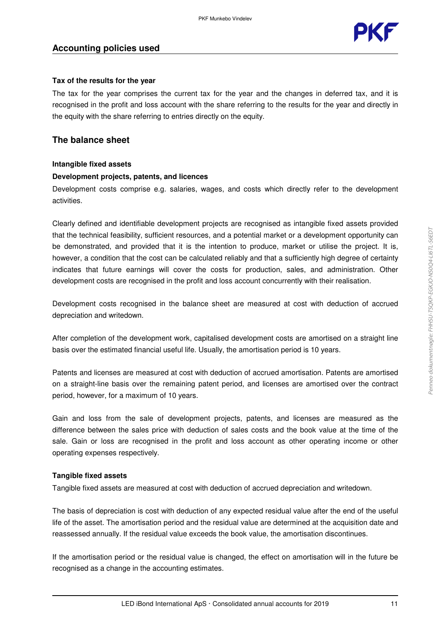

#### **Tax of the results for the year**

The tax for the year comprises the current tax for the year and the changes in deferred tax, and it is recognised in the profit and loss account with the share referring to the results for the year and directly in the equity with the share referring to entries directly on the equity.

#### **The balance sheet**

#### **Intangible fixed assets**

#### **Development projects, patents, and licences**

Development costs comprise e.g. salaries, wages, and costs which directly refer to the development activities.

Clearly defined and identifiable development projects are recognised as intangible fixed assets provided that the technical feasibility, sufficient resources, and a potential market or a development opportunity can be demonstrated, and provided that it is the intention to produce, market or utilise the project. It is, however, a condition that the cost can be calculated reliably and that a sufficiently high degree of certainty indicates that future earnings will cover the costs for production, sales, and administration. Other development costs are recognised in the profit and loss account concurrently with their realisation.

Development costs recognised in the balance sheet are measured at cost with deduction of accrued depreciation and writedown.

After completion of the development work, capitalised development costs are amortised on a straight line basis over the estimated financial useful life. Usually, the amortisation period is 10 years.

Patents and licenses are measured at cost with deduction of accrued amortisation. Patents are amortised on a straight-line basis over the remaining patent period, and licenses are amortised over the contract period, however, for a maximum of 10 years.

Gain and loss from the sale of development projects, patents, and licenses are measured as the difference between the sales price with deduction of sales costs and the book value at the time of the sale. Gain or loss are recognised in the profit and loss account as other operating income or other operating expenses respectively.

#### **Tangible fixed assets**

Tangible fixed assets are measured at cost with deduction of accrued depreciation and writedown.

The basis of depreciation is cost with deduction of any expected residual value after the end of the useful life of the asset. The amortisation period and the residual value are determined at the acquisition date and reassessed annually. If the residual value exceeds the book value, the amortisation discontinues.

If the amortisation period or the residual value is changed, the effect on amortisation will in the future be recognised as a change in the accounting estimates.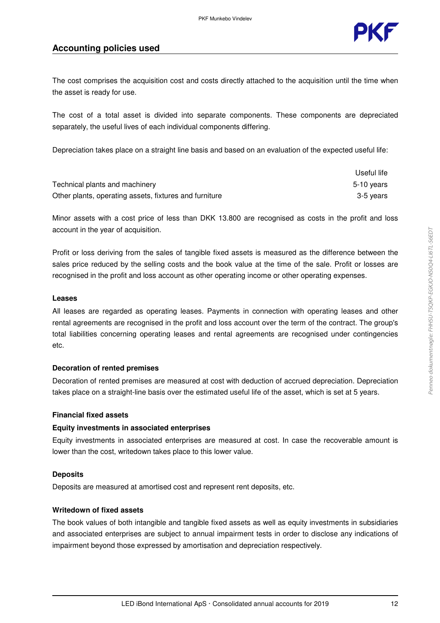

#### **Accounting policies used**

The cost comprises the acquisition cost and costs directly attached to the acquisition until the time when the asset is ready for use.

The cost of a total asset is divided into separate components. These components are depreciated separately, the useful lives of each individual components differing.

Depreciation takes place on a straight line basis and based on an evaluation of the expected useful life:

|                                                        | Useful life |
|--------------------------------------------------------|-------------|
| Technical plants and machinery                         | 5-10 vears  |
| Other plants, operating assets, fixtures and furniture | 3-5 vears   |

Minor assets with a cost price of less than DKK 13.800 are recognised as costs in the profit and loss account in the year of acquisition.

Profit or loss deriving from the sales of tangible fixed assets is measured as the difference between the sales price reduced by the selling costs and the book value at the time of the sale. Profit or losses are recognised in the profit and loss account as other operating income or other operating expenses.

#### **Leases**

All leases are regarded as operating leases. Payments in connection with operating leases and other rental agreements are recognised in the profit and loss account over the term of the contract. The group's total liabilities concerning operating leases and rental agreements are recognised under contingencies etc.

#### **Decoration of rented premises**

Decoration of rented premises are measured at cost with deduction of accrued depreciation. Depreciation takes place on a straight-line basis over the estimated useful life of the asset, which is set at 5 years.

#### **Financial fixed assets**

#### **Equity investments in associated enterprises**

Equity investments in associated enterprises are measured at cost. In case the recoverable amount is lower than the cost, writedown takes place to this lower value.

#### **Deposits**

Deposits are measured at amortised cost and represent rent deposits, etc.

#### **Writedown of fixed assets**

The book values of both intangible and tangible fixed assets as well as equity investments in subsidiaries and associated enterprises are subject to annual impairment tests in order to disclose any indications of impairment beyond those expressed by amortisation and depreciation respectively.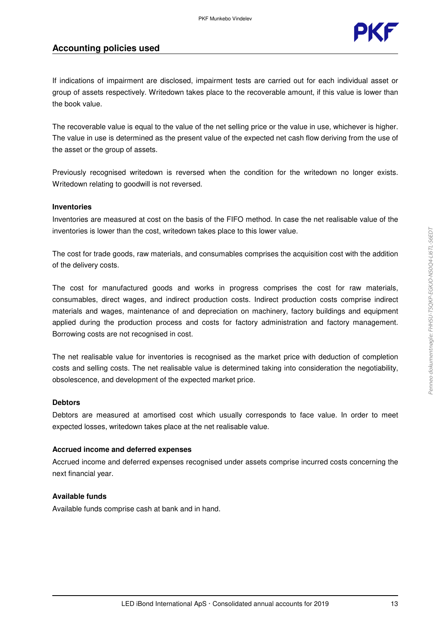

#### **Accounting policies used**

If indications of impairment are disclosed, impairment tests are carried out for each individual asset or group of assets respectively. Writedown takes place to the recoverable amount, if this value is lower than the book value.

The recoverable value is equal to the value of the net selling price or the value in use, whichever is higher. The value in use is determined as the present value of the expected net cash flow deriving from the use of the asset or the group of assets.

Previously recognised writedown is reversed when the condition for the writedown no longer exists. Writedown relating to goodwill is not reversed.

#### **Inventories**

Inventories are measured at cost on the basis of the FIFO method. In case the net realisable value of the inventories is lower than the cost, writedown takes place to this lower value.

The cost for trade goods, raw materials, and consumables comprises the acquisition cost with the addition of the delivery costs.

The cost for manufactured goods and works in progress comprises the cost for raw materials, consumables, direct wages, and indirect production costs. Indirect production costs comprise indirect materials and wages, maintenance of and depreciation on machinery, factory buildings and equipment applied during the production process and costs for factory administration and factory management. Borrowing costs are not recognised in cost.

The net realisable value for inventories is recognised as the market price with deduction of completion costs and selling costs. The net realisable value is determined taking into consideration the negotiability, obsolescence, and development of the expected market price.

#### **Debtors**

Debtors are measured at amortised cost which usually corresponds to face value. In order to meet expected losses, writedown takes place at the net realisable value.

#### **Accrued income and deferred expenses**

Accrued income and deferred expenses recognised under assets comprise incurred costs concerning the next financial year.

#### **Available funds**

Available funds comprise cash at bank and in hand.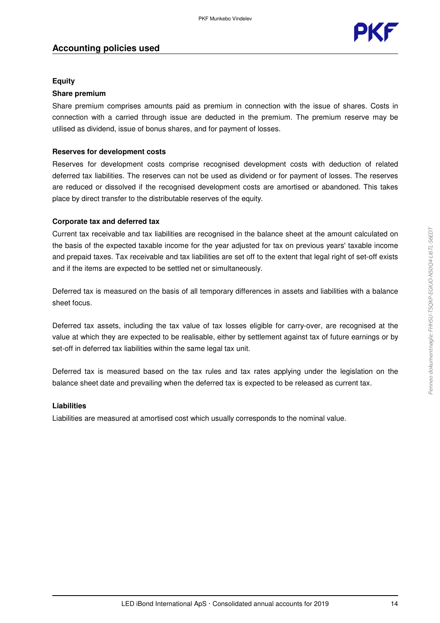

#### **Equity**

#### **Share premium**

Share premium comprises amounts paid as premium in connection with the issue of shares. Costs in connection with a carried through issue are deducted in the premium. The premium reserve may be utilised as dividend, issue of bonus shares, and for payment of losses.

#### **Reserves for development costs**

Reserves for development costs comprise recognised development costs with deduction of related deferred tax liabilities. The reserves can not be used as dividend or for payment of losses. The reserves are reduced or dissolved if the recognised development costs are amortised or abandoned. This takes place by direct transfer to the distributable reserves of the equity.

#### **Corporate tax and deferred tax**

Current tax receivable and tax liabilities are recognised in the balance sheet at the amount calculated on the basis of the expected taxable income for the year adjusted for tax on previous years' taxable income and prepaid taxes. Tax receivable and tax liabilities are set off to the extent that legal right of set-off exists and if the items are expected to be settled net or simultaneously.

Deferred tax is measured on the basis of all temporary differences in assets and liabilities with a balance sheet focus.

Deferred tax assets, including the tax value of tax losses eligible for carry-over, are recognised at the value at which they are expected to be realisable, either by settlement against tax of future earnings or by set-off in deferred tax liabilities within the same legal tax unit.

Deferred tax is measured based on the tax rules and tax rates applying under the legislation on the balance sheet date and prevailing when the deferred tax is expected to be released as current tax.

#### **Liabilities**

Liabilities are measured at amortised cost which usually corresponds to the nominal value.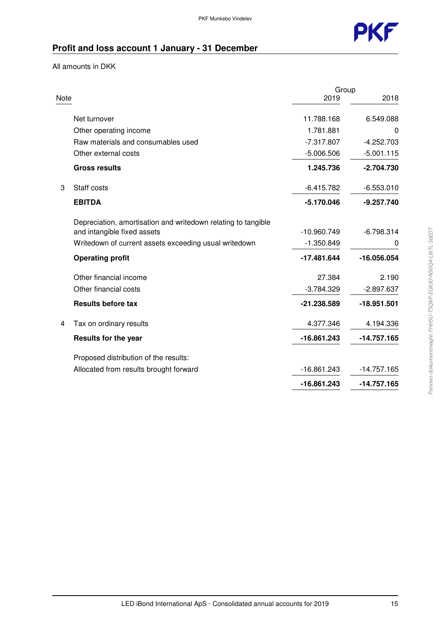

## **Profit and loss account 1 January - 31 December**

All amounts in DKK

|      |                                                               | Group         |               |
|------|---------------------------------------------------------------|---------------|---------------|
| Note |                                                               | 2019          | 2018          |
|      | Net turnover                                                  | 11.788.168    | 6.549.088     |
|      | Other operating income                                        | 1.781.881     | 0             |
|      | Raw materials and consumables used                            | $-7.317.807$  | $-4.252.703$  |
|      | Other external costs                                          | $-5.006.506$  | $-5.001.115$  |
|      | <b>Gross results</b>                                          | 1.245.736     | $-2.704.730$  |
| 3    | Staff costs                                                   | $-6.415.782$  | $-6.553.010$  |
|      | <b>EBITDA</b>                                                 | $-5.170.046$  | $-9.257.740$  |
|      | Depreciation, amortisation and writedown relating to tangible |               |               |
|      | and intangible fixed assets                                   | -10.960.749   | $-6.798.314$  |
|      | Writedown of current assets exceeding usual writedown         | $-1.350.849$  | O             |
|      | <b>Operating profit</b>                                       | $-17.481.644$ | -16.056.054   |
|      | Other financial income                                        | 27.384        | 2.190         |
|      | Other financial costs                                         | $-3.784.329$  | $-2.897.637$  |
|      | <b>Results before tax</b>                                     | -21.238.589   | -18.951.501   |
| 4    | Tax on ordinary results                                       | 4.377.346     | 4.194.336     |
|      | <b>Results for the year</b>                                   | -16.861.243   | $-14.757.165$ |
|      | Proposed distribution of the results:                         |               |               |
|      | Allocated from results brought forward                        | $-16.861.243$ | $-14.757.165$ |
|      |                                                               | $-16.861.243$ | -14.757.165   |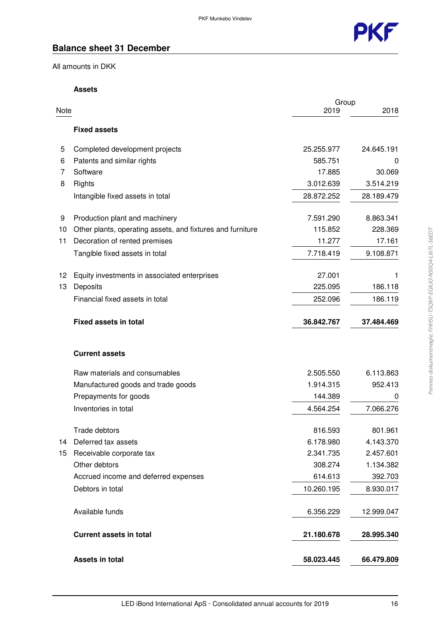

### **Balance sheet 31 December**

All amounts in DKK

#### **Assets**

|      |                                                            | Group      |            |
|------|------------------------------------------------------------|------------|------------|
| Note |                                                            | 2019       | 2018       |
|      | <b>Fixed assets</b>                                        |            |            |
| 5    | Completed development projects                             | 25.255.977 | 24.645.191 |
| 6    | Patents and similar rights                                 | 585.751    | 0          |
| 7    | Software                                                   | 17.885     | 30.069     |
| 8    | Rights                                                     | 3.012.639  | 3.514.219  |
|      | Intangible fixed assets in total                           | 28.872.252 | 28.189.479 |
| 9    | Production plant and machinery                             | 7.591.290  | 8.863.341  |
| 10   | Other plants, operating assets, and fixtures and furniture | 115.852    | 228.369    |
| 11   | Decoration of rented premises                              | 11.277     | 17.161     |
|      | Tangible fixed assets in total                             | 7.718.419  | 9.108.871  |
| 12   | Equity investments in associated enterprises               | 27.001     |            |
| 13   | Deposits                                                   | 225.095    | 186.118    |
|      | Financial fixed assets in total                            | 252.096    | 186.119    |
|      | <b>Fixed assets in total</b>                               | 36.842.767 | 37.484.469 |
|      | <b>Current assets</b>                                      |            |            |
|      | Raw materials and consumables                              | 2.505.550  | 6.113.863  |
|      | Manufactured goods and trade goods                         | 1.914.315  | 952.413    |
|      | Prepayments for goods                                      | 144.389    | 0          |
|      | Inventories in total                                       | 4.564.254  | 7.066.276  |
|      | Trade debtors                                              | 816.593    | 801.961    |
| 14   | Deferred tax assets                                        | 6.178.980  | 4.143.370  |
| 15   | Receivable corporate tax                                   | 2.341.735  | 2.457.601  |
|      | Other debtors                                              | 308.274    | 1.134.382  |
|      | Accrued income and deferred expenses                       | 614.613    | 392.703    |
|      | Debtors in total                                           | 10.260.195 | 8.930.017  |
|      | Available funds                                            | 6.356.229  | 12.999.047 |
|      | <b>Current assets in total</b>                             | 21.180.678 | 28.995.340 |
|      | <b>Assets in total</b>                                     | 58.023.445 | 66.479.809 |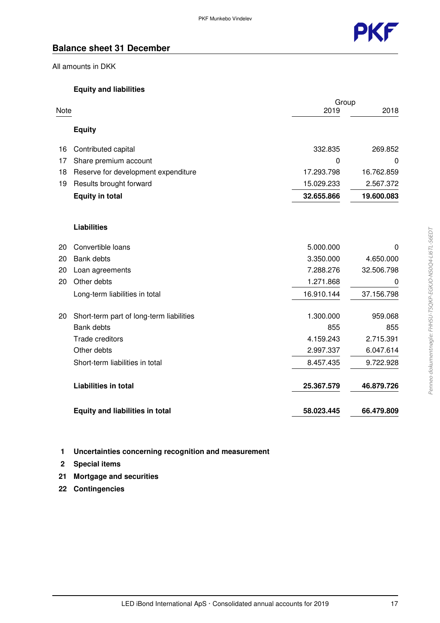

### **Balance sheet 31 December**

All amounts in DKK

#### **Equity and liabilities**

|      |                                          | Group      |            |
|------|------------------------------------------|------------|------------|
| Note |                                          | 2019       | 2018       |
|      | <b>Equity</b>                            |            |            |
| 16   | Contributed capital                      | 332.835    | 269.852    |
| 17   | Share premium account                    | 0          | $\Omega$   |
| 18   | Reserve for development expenditure      | 17.293.798 | 16.762.859 |
| 19   | Results brought forward                  | 15.029.233 | 2.567.372  |
|      | <b>Equity in total</b>                   | 32.655.866 | 19.600.083 |
|      | <b>Liabilities</b>                       |            |            |
| 20   | Convertible loans                        | 5.000.000  | $\Omega$   |
| 20   | Bank debts                               | 3.350.000  | 4.650.000  |
| 20   | Loan agreements                          | 7.288.276  | 32.506.798 |
| 20   | Other debts                              | 1.271.868  | 0          |
|      | Long-term liabilities in total           | 16.910.144 | 37.156.798 |
| 20   | Short-term part of long-term liabilities | 1.300.000  | 959.068    |
|      | <b>Bank debts</b>                        | 855        | 855        |
|      | Trade creditors                          | 4.159.243  | 2.715.391  |
|      | Other debts                              | 2.997.337  | 6.047.614  |
|      | Short-term liabilities in total          | 8.457.435  | 9.722.928  |
|      | <b>Liabilities in total</b>              | 25.367.579 | 46.879.726 |
|      | <b>Equity and liabilities in total</b>   | 58.023.445 | 66.479.809 |

- **1 Uncertainties concerning recognition and measurement**
- **2 Special items**
- **21 Mortgage and securities**
- **22 Contingencies**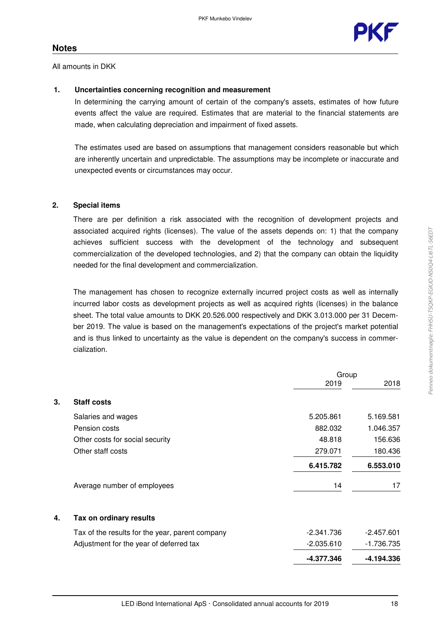All amounts in DKK

#### **1. Uncertainties concerning recognition and measurement**

In determining the carrying amount of certain of the company's assets, estimates of how future events affect the value are required. Estimates that are material to the financial statements are made, when calculating depreciation and impairment of fixed assets.

The estimates used are based on assumptions that management considers reasonable but which are inherently uncertain and unpredictable. The assumptions may be incomplete or inaccurate and unexpected events or circumstances may occur.

#### **2. Special items**

There are per definition a risk associated with the recognition of development projects and associated acquired rights (licenses). The value of the assets depends on: 1) that the company achieves sufficient success with the development of the technology and subsequent commercialization of the developed technologies, and 2) that the company can obtain the liquidity needed for the final development and commercialization.

The management has chosen to recognize externally incurred project costs as well as internally incurred labor costs as development projects as well as acquired rights (licenses) in the balance sheet. The total value amounts to DKK 20.526.000 respectively and DKK 3.013.000 per 31 December 2019. The value is based on the management's expectations of the project's market potential and is thus linked to uncertainty as the value is dependent on the company's success in commercialization.

|    |                                                 | Group        |              |
|----|-------------------------------------------------|--------------|--------------|
|    |                                                 | 2019         | 2018         |
| 3. | <b>Staff costs</b>                              |              |              |
|    | Salaries and wages                              | 5.205.861    | 5.169.581    |
|    | Pension costs                                   | 882.032      | 1.046.357    |
|    | Other costs for social security                 | 48.818       | 156.636      |
|    | Other staff costs                               | 279.071      | 180.436      |
|    |                                                 | 6.415.782    | 6.553.010    |
|    | Average number of employees                     | 14           | 17           |
| 4. | Tax on ordinary results                         |              |              |
|    | Tax of the results for the year, parent company | $-2.341.736$ | $-2.457.601$ |
|    | Adjustment for the year of deferred tax         | $-2.035.610$ | -1.736.735   |
|    |                                                 | -4.377.346   | -4.194.336   |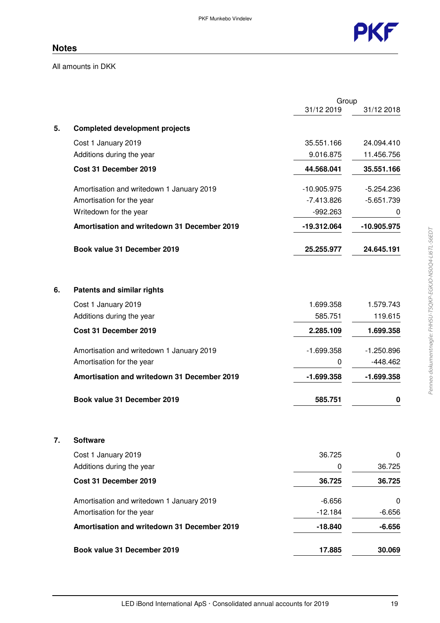

All amounts in DKK

|    |                                             | Group         |              |
|----|---------------------------------------------|---------------|--------------|
|    |                                             | 31/12 2019    | 31/12 2018   |
| 5. | <b>Completed development projects</b>       |               |              |
|    | Cost 1 January 2019                         | 35.551.166    | 24.094.410   |
|    | Additions during the year                   | 9.016.875     | 11.456.756   |
|    | Cost 31 December 2019                       | 44.568.041    | 35.551.166   |
|    | Amortisation and writedown 1 January 2019   | $-10.905.975$ | $-5.254.236$ |
|    | Amortisation for the year                   | $-7.413.826$  | $-5.651.739$ |
|    | Writedown for the year                      | $-992.263$    | 0            |
|    | Amortisation and writedown 31 December 2019 | -19.312.064   | -10.905.975  |
|    | Book value 31 December 2019                 | 25.255.977    | 24.645.191   |
| 6. | <b>Patents and similar rights</b>           |               |              |
|    | Cost 1 January 2019                         | 1.699.358     | 1.579.743    |
|    | Additions during the year                   | 585.751       | 119.615      |
|    | Cost 31 December 2019                       | 2.285.109     | 1.699.358    |
|    | Amortisation and writedown 1 January 2019   | $-1.699.358$  | $-1.250.896$ |
|    | Amortisation for the year                   | 0             | $-448.462$   |
|    | Amortisation and writedown 31 December 2019 | $-1.699.358$  | $-1.699.358$ |
|    | Book value 31 December 2019                 | 585.751       | 0            |
| 7. | <b>Software</b>                             |               |              |
|    | Cost 1 January 2019                         | 36.725        | 0            |
|    | Additions during the year                   | 0             | 36.725       |
|    | Cost 31 December 2019                       | 36.725        | 36.725       |
|    | Amortisation and writedown 1 January 2019   | $-6.656$      | 0            |
|    | Amortisation for the year                   | $-12.184$     | $-6.656$     |
|    | Amortisation and writedown 31 December 2019 | $-18.840$     | $-6.656$     |
|    | Book value 31 December 2019                 | 17.885        | 30.069       |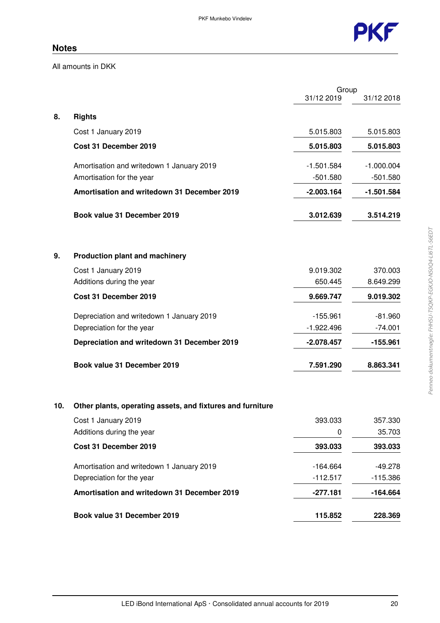

All amounts in DKK

|     |                                                            | Group        |              |
|-----|------------------------------------------------------------|--------------|--------------|
|     |                                                            | 31/12 2019   | 31/12 2018   |
| 8.  | <b>Rights</b>                                              |              |              |
|     | Cost 1 January 2019                                        | 5.015.803    | 5.015.803    |
|     | Cost 31 December 2019                                      | 5.015.803    | 5.015.803    |
|     | Amortisation and writedown 1 January 2019                  | $-1.501.584$ | $-1.000.004$ |
|     | Amortisation for the year                                  | $-501.580$   | $-501.580$   |
|     | Amortisation and writedown 31 December 2019                | $-2.003.164$ | $-1.501.584$ |
|     | Book value 31 December 2019                                | 3.012.639    | 3.514.219    |
| 9.  | <b>Production plant and machinery</b>                      |              |              |
|     | Cost 1 January 2019                                        | 9.019.302    | 370.003      |
|     | Additions during the year                                  | 650.445      | 8.649.299    |
|     | Cost 31 December 2019                                      | 9.669.747    | 9.019.302    |
|     | Depreciation and writedown 1 January 2019                  | $-155.961$   | $-81.960$    |
|     | Depreciation for the year                                  | $-1.922.496$ | $-74.001$    |
|     | Depreciation and writedown 31 December 2019                | $-2.078.457$ | $-155.961$   |
|     | Book value 31 December 2019                                | 7.591.290    | 8.863.341    |
| 10. | Other plants, operating assets, and fixtures and furniture |              |              |
|     | Cost 1 January 2019                                        | 393.033      | 357.330      |
|     | Additions during the year                                  | 0            | 35.703       |
|     | Cost 31 December 2019                                      | 393.033      | 393.033      |
|     | Amortisation and writedown 1 January 2019                  | $-164.664$   | -49.278      |
|     | Depreciation for the year                                  | $-112.517$   | $-115.386$   |
|     | Amortisation and writedown 31 December 2019                | $-277.181$   | $-164.664$   |
|     | Book value 31 December 2019                                | 115.852      | 228.369      |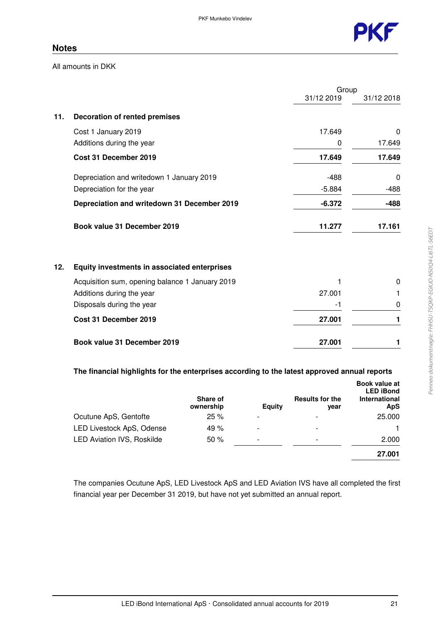

All amounts in DKK

|     |                                                 | Group      |            |
|-----|-------------------------------------------------|------------|------------|
|     |                                                 | 31/12 2019 | 31/12 2018 |
| 11. | <b>Decoration of rented premises</b>            |            |            |
|     | Cost 1 January 2019                             | 17.649     | 0          |
|     | Additions during the year                       | 0          | 17.649     |
|     | Cost 31 December 2019                           | 17.649     | 17.649     |
|     | Depreciation and writedown 1 January 2019       | $-488$     | 0          |
|     | Depreciation for the year                       | $-5.884$   | $-488$     |
|     | Depreciation and writedown 31 December 2019     | $-6.372$   | $-488$     |
|     | Book value 31 December 2019                     | 11.277     | 17.161     |
| 12. | Equity investments in associated enterprises    |            |            |
|     | Acquisition sum, opening balance 1 January 2019 |            | 0          |
|     | Additions during the year                       | 27.001     | 1          |
|     | Disposals during the year                       | -1         | 0          |
|     | Cost 31 December 2019                           | 27.001     | 1          |
|     | Book value 31 December 2019                     | 27.001     | 1          |

#### **The financial highlights for the enterprises according to the latest approved annual reports**

|                                   | Share of<br>ownership | <b>Equity</b>            | <b>Results for the</b><br>vear | <b>Book value at</b><br><b>LED iBond</b><br>International<br><b>ApS</b> |
|-----------------------------------|-----------------------|--------------------------|--------------------------------|-------------------------------------------------------------------------|
| Ocutune ApS, Gentofte             | 25%                   | $\overline{\phantom{a}}$ |                                | 25.000                                                                  |
| LED Livestock ApS, Odense         | 49 %                  | $\overline{\phantom{a}}$ |                                |                                                                         |
| <b>LED Aviation IVS, Roskilde</b> | 50 %                  | ۰                        | $\overline{\phantom{0}}$       | 2.000                                                                   |
|                                   |                       |                          |                                | 27.001                                                                  |

The companies Ocutune ApS, LED Livestock ApS and LED Aviation IVS have all completed the first financial year per December 31 2019, but have not yet submitted an annual report.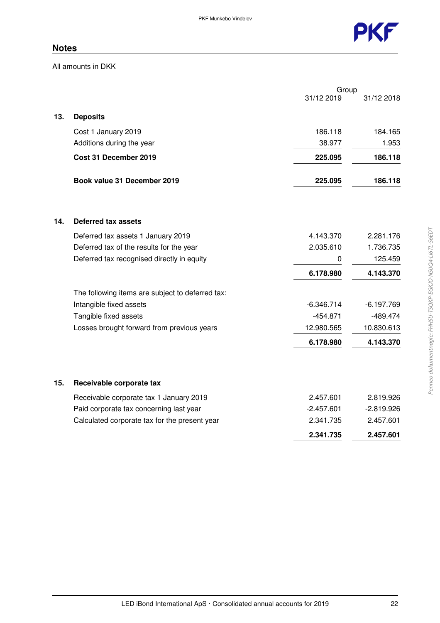

All amounts in DKK

|     |                                                  |              | Group        |  |
|-----|--------------------------------------------------|--------------|--------------|--|
|     |                                                  | 31/12 2019   | 31/12 2018   |  |
| 13. | <b>Deposits</b>                                  |              |              |  |
|     | Cost 1 January 2019                              | 186.118      | 184.165      |  |
|     | Additions during the year                        | 38.977       | 1.953        |  |
|     | Cost 31 December 2019                            | 225.095      | 186.118      |  |
|     | Book value 31 December 2019                      | 225.095      | 186.118      |  |
|     |                                                  |              |              |  |
| 14. | Deferred tax assets                              |              |              |  |
|     | Deferred tax assets 1 January 2019               | 4.143.370    | 2.281.176    |  |
|     | Deferred tax of the results for the year         | 2.035.610    | 1.736.735    |  |
|     | Deferred tax recognised directly in equity       | 0            | 125.459      |  |
|     |                                                  | 6.178.980    | 4.143.370    |  |
|     | The following items are subject to deferred tax: |              |              |  |
|     | Intangible fixed assets                          | $-6.346.714$ | $-6.197.769$ |  |
|     | Tangible fixed assets                            | $-454.871$   | $-489.474$   |  |
|     | Losses brought forward from previous years       | 12.980.565   | 10.830.613   |  |
|     |                                                  | 6.178.980    | 4.143.370    |  |
| 15. | Receivable corporate tax                         |              |              |  |
|     | Receivable corporate tax 1 January 2019          | 2.457.601    | 2.819.926    |  |
|     | Paid corporate tax concerning last year          | $-2.457.601$ | $-2.819.926$ |  |
|     | Calculated corporate tax for the present year    | 2.341.735    | 2.457.601    |  |
|     |                                                  | 2.341.735    | 2.457.601    |  |
|     |                                                  |              |              |  |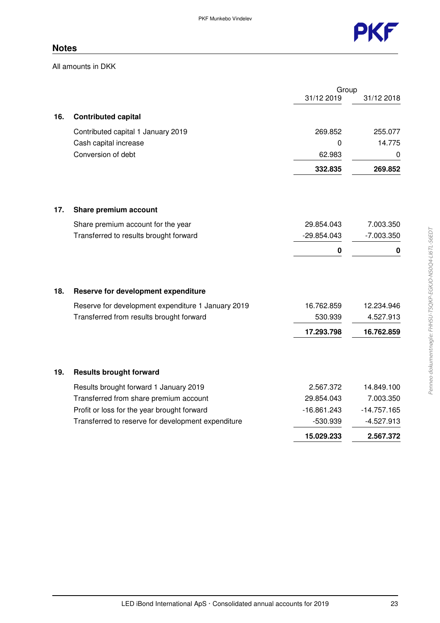

All amounts in DKK

|     |                                                    | Group         |               |
|-----|----------------------------------------------------|---------------|---------------|
|     |                                                    | 31/12 2019    | 31/12 2018    |
| 16. | <b>Contributed capital</b>                         |               |               |
|     | Contributed capital 1 January 2019                 | 269.852       | 255.077       |
|     | Cash capital increase                              | 0             | 14.775        |
|     | Conversion of debt                                 | 62.983        | 0             |
|     |                                                    | 332.835       | 269.852       |
|     |                                                    |               |               |
| 17. | Share premium account                              |               |               |
|     | Share premium account for the year                 | 29.854.043    | 7.003.350     |
|     | Transferred to results brought forward             | $-29.854.043$ | $-7.003.350$  |
|     |                                                    | $\pmb{0}$     | 0             |
|     |                                                    |               |               |
| 18. | Reserve for development expenditure                |               |               |
|     | Reserve for development expenditure 1 January 2019 | 16.762.859    | 12.234.946    |
|     | Transferred from results brought forward           | 530.939       | 4.527.913     |
|     |                                                    | 17.293.798    | 16.762.859    |
|     |                                                    |               |               |
| 19. | <b>Results brought forward</b>                     |               |               |
|     | Results brought forward 1 January 2019             | 2.567.372     | 14.849.100    |
|     | Transferred from share premium account             | 29.854.043    | 7.003.350     |
|     | Profit or loss for the year brought forward        | $-16.861.243$ | $-14.757.165$ |
|     | Transferred to reserve for development expenditure | -530.939      | $-4.527.913$  |
|     |                                                    | 15.029.233    | 2.567.372     |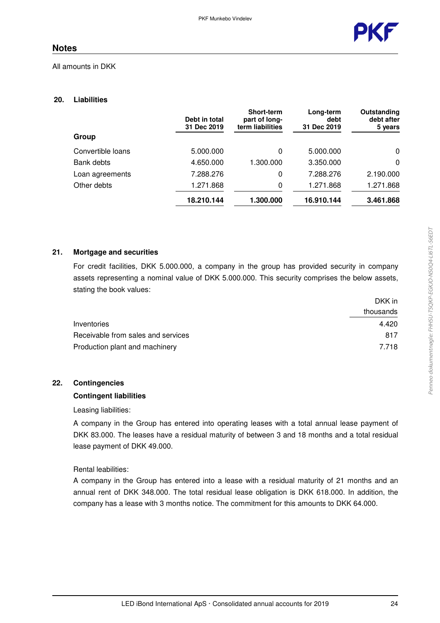

#### All amounts in DKK

#### **20. Liabilities**

|                   | Debt in total<br>31 Dec 2019 | <b>Short-term</b><br>part of long-<br>term liabilities | Long-term<br>debt<br>31 Dec 2019 | Outstanding<br>debt after<br>5 years |
|-------------------|------------------------------|--------------------------------------------------------|----------------------------------|--------------------------------------|
| Group             |                              |                                                        |                                  |                                      |
| Convertible loans | 5.000.000                    | 0                                                      | 5.000.000                        | 0                                    |
| Bank debts        | 4.650.000                    | 1.300.000                                              | 3.350.000                        | 0                                    |
| Loan agreements   | 7.288.276                    | 0                                                      | 7.288.276                        | 2.190.000                            |
| Other debts       | 1.271.868                    | 0                                                      | 1.271.868                        | 1.271.868                            |
|                   | 18.210.144                   | 1.300.000                                              | 16.910.144                       | 3.461.868                            |

#### **21. Mortgage and securities**

For credit facilities, DKK 5.000.000, a company in the group has provided security in company assets representing a nominal value of DKK 5.000.000. This security comprises the below assets, stating the book values:

|                                    | DKK in    |
|------------------------------------|-----------|
|                                    | thousands |
| Inventories                        | 4.420     |
| Receivable from sales and services | 817       |
| Production plant and machinery     | 7.718     |

#### **22. Contingencies**

#### **Contingent liabilities**

Leasing liabilities:

A company in the Group has entered into operating leases with a total annual lease payment of DKK 83.000. The leases have a residual maturity of between 3 and 18 months and a total residual lease payment of DKK 49.000.

#### Rental leabilities:

A company in the Group has entered into a lease with a residual maturity of 21 months and an annual rent of DKK 348.000. The total residual lease obligation is DKK 618.000. In addition, the company has a lease with 3 months notice. The commitment for this amounts to DKK 64.000.